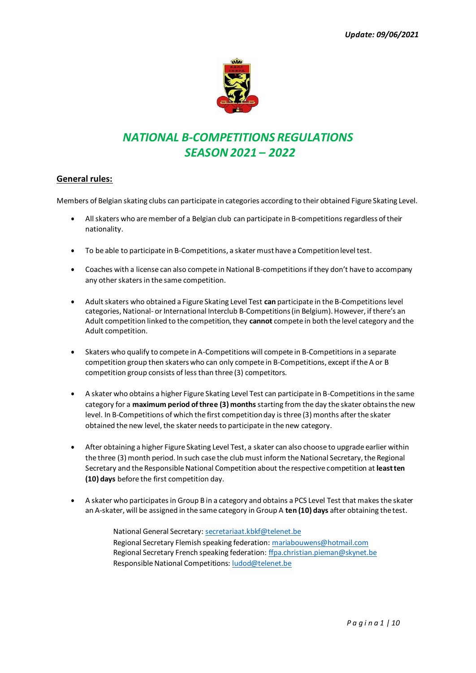

# *NATIONAL B-COMPETITIONS REGULATIONS SEASON 2021 – 2022*

### **General rules:**

Members of Belgian skating clubs can participate in categories according to their obtained Figure Skating Level.

- All skaters who are member of a Belgian club can participate in B-competitions regardless of their nationality.
- To be able to participate in B-Competitions, a skater must have a Competition level test.
- Coaches with a license can also compete in National B-competitions if they don't have to accompany any other skaters in the same competition.
- Adult skaters who obtained a Figure Skating Level Test **can** participate in the B-Competitions level categories, National- or International Interclub B-Competitions (in Belgium). However, if there's an Adult competition linked to the competition, they **cannot** compete in both the level category and the Adult competition.
- Skaters who qualify to compete in A-Competitions will compete in B-Competitions in a separate competition group then skaters who can only compete in B-Competitions, except if the A or B competition group consists of less than three (3) competitors.
- A skater who obtains a higher Figure Skating Level Test can participate in B-Competitions in the same category for a **maximum period of three (3) months** starting from the day the skater obtains the new level. In B-Competitions of which the first competition day is three (3) months after the skater obtained the new level, the skater needs to participate in the new category.
- After obtaining a higher Figure Skating Level Test, a skater can also choose to upgrade earlier within the three (3) month period. In such case the club must inform the National Secretary, the Regional Secretary and the Responsible National Competition about the respective competition at **leastten (10) days** before the first competition day.
- A skater who participates in Group B in a category and obtains a PCS Level Test that makes the skater an A-skater, will be assigned in the same category in Group A **ten (10) days** after obtaining thetest.
	- National General Secretary[: secretariaat.kbkf@telenet.be](mailto:secretariaat.kbkf@telenet.be) Regional Secretary Flemish speaking federation[: mariabouwens@hotmail.com](mailto:mariabouwens@hotmail.com) Regional Secretary French speaking federation[: ffpa.christian.pieman@skynet.be](mailto:ffpa.christian.pieman@skynet.be) Responsible National Competitions[: ludod@telenet.be](mailto:ludod@telenet.be)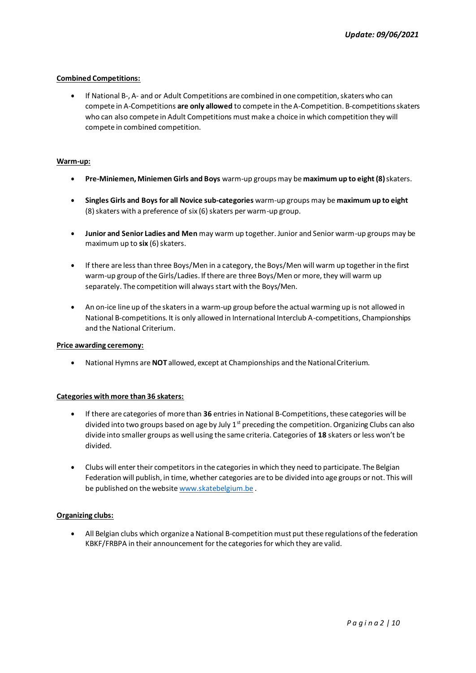#### **Combined Competitions:**

• If National B-, A- and or Adult Competitions are combined in one competition, skaters who can compete in A-Competitions **are only allowed** to compete in the A-Competition. B-competitions skaters who can also compete in Adult Competitions must make a choice in which competition they will compete in combined competition.

#### **Warm-up:**

- **Pre-Miniemen, Miniemen Girls and Boys** warm-up groups may be **maximum up to eight (8)**skaters.
- **Singles Girls and Boys for all Novice sub-categories** warm-up groups may be **maximum up to eight**  (8) skaters with a preference of six (6) skaters per warm-up group.
- **Junior and Senior Ladies and Men** may warm up together. Junior and Senior warm-up groups may be maximum up to **six** (6) skaters.
- If there are less than three Boys/Men in a category, the Boys/Men will warm up together in the first warm-up group of the Girls/Ladies. If there are three Boys/Men or more, they will warm up separately. The competition will always start with the Boys/Men.
- An on-ice line up of the skaters in a warm-up group before the actual warming up is not allowed in National B-competitions. It is only allowed in International Interclub A-competitions, Championships and the National Criterium.

#### **Price awarding ceremony:**

• National Hymns are **NOT** allowed, except at Championships and the NationalCriterium.

#### **Categories with more than 36 skaters:**

- If there are categories of more than **36** entries in National B-Competitions, these categories will be divided into two groups based on age by July  $1^{st}$  preceding the competition. Organizing Clubs can also divide into smaller groups as well using the same criteria. Categories of **18** skaters or less won't be divided.
- Clubs will enter their competitors in the categories in which they need to participate. The Belgian Federation will publish, in time, whether categories are to be divided into age groups or not. This will be published on the website [www.skatebelgium.be](http://www.skatebelgium.be/) .

#### **Organizing clubs:**

• All Belgian clubs which organize a National B-competition must put these regulations of the federation KBKF/FRBPA in their announcement for the categories for which they are valid.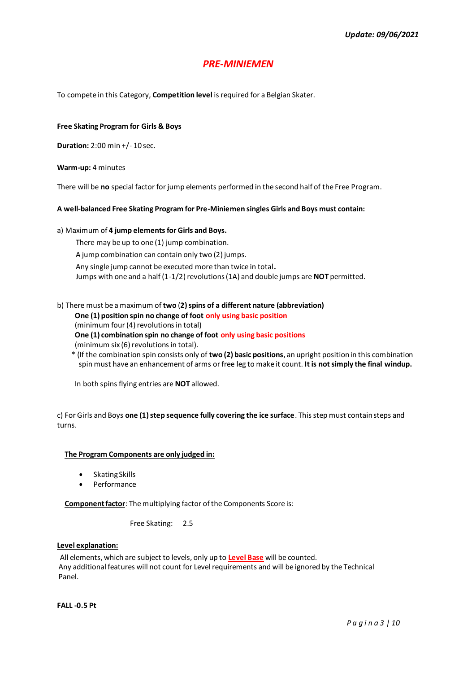## *PRE-MINIEMEN*

To compete in this Category, **Competition level** is required for a Belgian Skater.

#### **Free Skating Program for Girls & Boys**

**Duration:** 2:00 min +/- 10 sec.

**Warm-up:** 4 minutes

There will be **no** special factor for jump elements performed in the second half of the Free Program.

#### **A well-balanced Free Skating Program for Pre-Miniemen singles Girls and Boys must contain:**

#### a) Maximum of **4 jump elements for Girls and Boys.**

There may be up to one (1) jump combination.

A jump combination can contain only two (2) jumps.

Any single jump cannot be executed more than twice in total**.**

Jumps with one and a half (1-1/2) revolutions (1A) and double jumps are **NOT** permitted.

b) There must be a maximum of **two** (**2) spins of a different nature (abbreviation) One (1) position spin no change of foot only using basic position** (minimum four (4) revolutions in total) **One (1) combination spin no change of foot only using basic positions** (minimum six (6) revolutions in total).

\* (If the combination spin consists only of **two (2) basic positions**, an upright position in this combination spin must have an enhancement of arms or free leg to make it count. **It is not simply the final windup.**

In both spins flying entries are **NOT** allowed.

c) For Girls and Boys **one (1) step sequence fully covering the ice surface**. This step must contain steps and turns.

#### **The Program Components are only judged in:**

- Skating Skills
- **Performance**

**Component factor**: The multiplying factor of the Components Score is:

Free Skating: 2.5

#### **Level explanation:**

All elements, which are subject to levels, only up to **Level Base** will be counted. Any additional features will not count for Level requirements and will be ignored by the Technical Panel.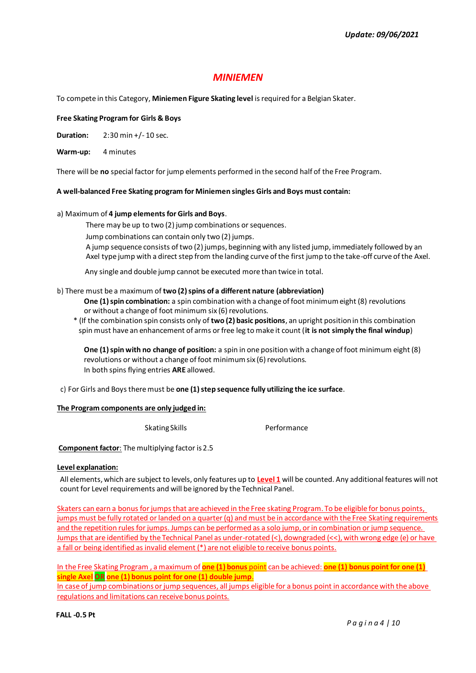## *MINIEMEN*

To compete in this Category, **Miniemen Figure Skating level** is required for a Belgian Skater.

#### **Free Skating Program for Girls & Boys**

**Duration:** 2:30 min +/- 10 sec.

**Warm-up:** 4 minutes

There will be **no** special factor for jump elements performed in the second half of the Free Program.

#### **A well-balanced Free Skating program for Miniemen singles Girls and Boys must contain:**

#### a) Maximum of **4 jump elements for Girls and Boys**.

There may be up to two (2) jump combinations or sequences.

Jump combinations can contain only two (2) jumps.

A jump sequence consists of two (2) jumps, beginning with any listed jump, immediately followed by an Axel type jump with a direct step from the landing curve of the first jump to the take-off curve of the Axel.

Any single and double jump cannot be executed more than twice in total.

#### b) There must be a maximum of **two (2) spins of a different nature (abbreviation)**

**One (1) spin combination:** a spin combination with a change of foot minimum eight (8) revolutions or without a change of foot minimum six (6) revolutions.

\* (If the combination spin consists only of **two (2) basic positions**, an upright position in this combination spin must have an enhancement of arms or free leg to make it count (**it is not simply the final windup**)

**One (1) spin with no change of position:** a spin in one position with a change of foot minimum eight (8) revolutions or without a change of foot minimum six (6) revolutions. In both spins flying entries **ARE** allowed.

c) For Girls and Boys there must be **one (1) step sequence fully utilizing the ice surface**.

#### **The Program components are only judged in:**

Skating Skills **Performance** 

**Component factor:** The multiplying factor is 2.5

#### **Level explanation:**

All elements, which are subject to levels, only features up to **Level 1** will be counted. Any additional features will not count for Level requirements and will be ignored by the Technical Panel.

Skaters can earn a bonus for jumps that are achieved in the Free skating Program. To be eligible for bonus points, jumps must be fully rotated or landed on a quarter (q) and must be in accordance with the Free Skating requirements and the repetition rules for jumps. Jumps can be performed as a solo jump, or in combination or jump sequence. Jumps that are identified by the Technical Panel as under-rotated (<), downgraded (<<), with wrong edge (e) or have a fall or being identified as invalid element (\*) are not eligible to receive bonus points.

In the Free Skating Program , a maximum of **one (1) bonus** point can be achieved: **one (1) bonus point for one (1) single Axel OR one (1) bonus point for one (1) double jump**.

In case of jump combinations or jump sequences, all jumps eligible for a bonus point in accordance with the above regulations and limitations can receive bonus points.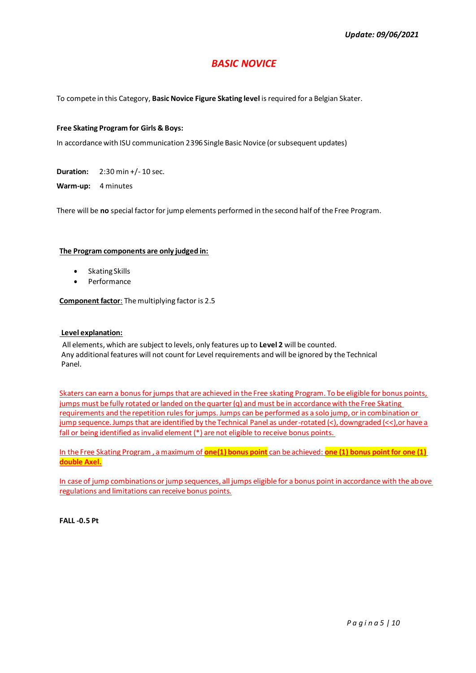# *BASIC NOVICE*

To compete in this Category, **Basic Novice Figure Skating level** is required for a Belgian Skater.

#### **Free Skating Program for Girls & Boys:**

In accordance with ISU communication 2396 Single Basic Novice (or subsequent updates)

**Duration:** 2:30 min +/- 10 sec.

**Warm-up:** 4 minutes

There will be **no** special factor for jump elements performed in the second half of the Free Program.

#### **The Program components are only judged in:**

- Skating Skills
- Performance

**Component factor**: The multiplying factor is 2.5

#### **Level explanation:**

All elements, which are subject to levels, only features up to **Level 2** will be counted. Any additional features will not count for Level requirements and will be ignored by the Technical Panel.

Skaters can earn a bonus for jumps that are achieved in the Free skating Program. To be eligible for bonus points, jumps must be fully rotated or landed on the quarter (q) and must be in accordance with the Free Skating requirements and the repetition rules for jumps. Jumps can be performed as a solo jump, or in combination or jump sequence. Jumps that are identified by the Technical Panel as under-rotated (<), downgraded (<<),or have a fall or being identified as invalid element (\*) are not eligible to receive bonus points.

In the Free Skating Program , a maximum of **one(1) bonus point** can be achieved: **one (1) bonus point for one (1) double Axel.**

In case of jump combinations or jump sequences, all jumps eligible for a bonus point in accordance with the above regulations and limitations can receive bonus points.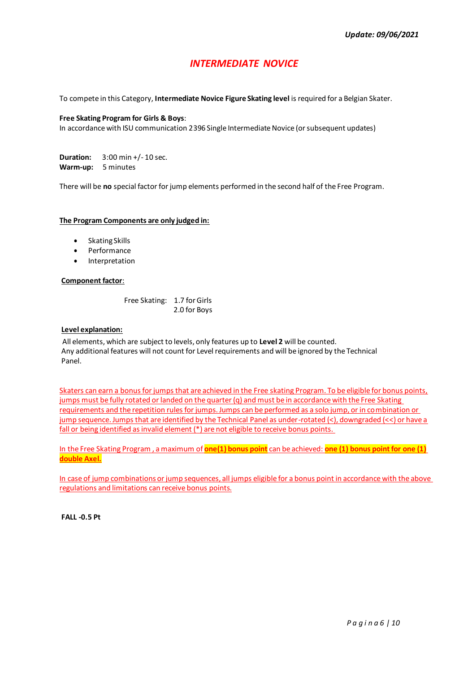# *INTERMEDIATE NOVICE*

To compete in this Category, **Intermediate Novice Figure Skating level** is required for a Belgian Skater.

#### **Free Skating Program for Girls & Boys**:

In accordance with ISU communication 2396 Single Intermediate Novice (or subsequent updates)

**Duration:** 3:00 min +/- 10 sec. **Warm-up:** 5 minutes

There will be **no** special factor for jump elements performed in the second half of the Free Program.

#### **The Program Components are only judged in:**

- Skating Skills
- Performance
- **Interpretation**

#### **Component factor**:

Free Skating: 1.7 for Girls 2.0 for Boys

#### **Level explanation:**

All elements, which are subject to levels, only features up to **Level 2** will be counted. Any additional features will not count for Level requirements and will be ignored by the Technical Panel.

Skaters can earn a bonus for jumps that are achieved in the Free skating Program. To be eligible for bonus points, jumps must be fully rotated or landed on the quarter (q) and must be in accordance with the Free Skating requirements and the repetition rules for jumps. Jumps can be performed as a solo jump, or in combination or jump sequence. Jumps that are identified by the Technical Panel as under-rotated (<), downgraded (<<) or have a fall or being identified as invalid element (\*) are not eligible to receive bonus points.

In the Free Skating Program , a maximum of **one(1) bonus point** can be achieved: **one (1) bonus point for one (1) double Axel.**

In case of jump combinations or jump sequences, all jumps eligible for a bonus point in accordance with the above regulations and limitations can receive bonus points.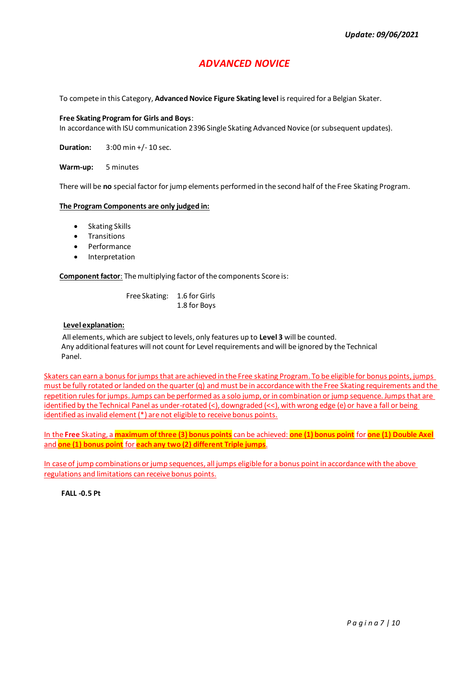# *ADVANCED NOVICE*

To compete in this Category, **Advanced Novice Figure Skating level** is required for a Belgian Skater.

#### **Free Skating Program for Girls and Boys**:

In accordance with ISU communication 2396 Single Skating Advanced Novice (or subsequent updates).

**Duration:** 3:00 min +/- 10 sec.

**Warm-up:** 5 minutes

There will be **no** special factor for jump elements performed in the second half of the Free Skating Program.

#### **The Program Components are only judged in:**

- Skating Skills
- **Transitions**
- **Performance**
- Interpretation

**Component factor**: The multiplying factor of the components Score is:

Free Skating: 1.6 for Girls 1.8 for Boys

#### **Level explanation:**

All elements, which are subject to levels, only features up to **Level 3** will be counted. Any additional features will not count for Level requirements and will be ignored by the Technical Panel.

Skaters can earn a bonus for jumps that are achieved in the Free skating Program. To be eligible for bonus points, jumps must be fully rotated or landed on the quarter (q) and must be in accordance with the Free Skating requirements and the repetition rules for jumps. Jumps can be performed as a solo jump, or in combination or jump sequence. Jumps that are identified by the Technical Panel as under-rotated (<), downgraded (<<), with wrong edge (e) or have a fall or being identified as invalid element (\*) are not eligible to receive bonus points.

In the **Free** Skating, a **maximum of three (3) bonus points** can be achieved: **one (1) bonus point** for **one (1) Double Axel** and **one (1) bonus point** for **each any two (2) different Triple jumps**.

In case of jump combinations or jump sequences, all jumps eligible for a bonus point in accordance with the above regulations and limitations can receive bonus points.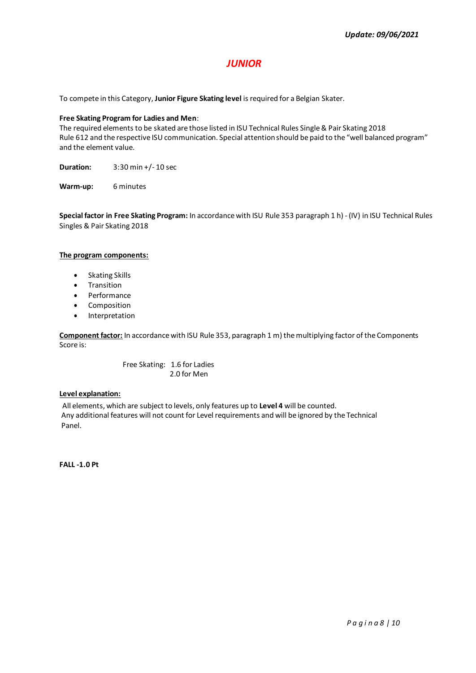# *JUNIOR*

To compete in this Category, **Junior Figure Skating level** is required for a Belgian Skater.

#### **Free Skating Program for Ladies and Men**:

The required elements to be skated are those listed in ISU Technical Rules Single & Pair Skating 2018 Rule 612 and the respective ISU communication. Special attention should be paid to the "well balanced program" and the element value.

**Duration:** 3:30 min +/- 10 sec

**Warm-up:** 6 minutes

**Special factor in Free Skating Program:** In accordance with ISU Rule 353 paragraph 1 h) - (IV) in ISU Technical Rules Singles & Pair Skating 2018

#### **The program components:**

- Skating Skills
- **Transition**
- Performance
- Composition
- Interpretation

**Component factor:** In accordance with ISU Rule 353, paragraph 1 m) the multiplying factor of the Components Score is:

> Free Skating: 1.6 for Ladies 2.0 for Men

#### **Level explanation:**

All elements, which are subject to levels, only features up to **Level 4** will be counted. Any additional features will not count for Level requirements and will be ignored by the Technical Panel.

**FALL -1.0 Pt**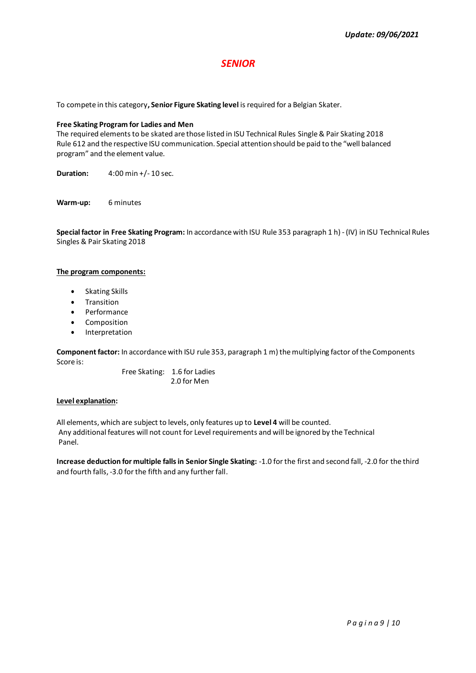## *SENIOR*

To compete in this category**, Senior Figure Skating level** is required for a Belgian Skater.

#### **Free Skating Program for Ladies and Men**

The required elements to be skated are those listed in ISU Technical Rules Single & Pair Skating 2018 Rule 612 and the respective ISU communication. Special attention should be paid to the "well balanced program" and the element value.

**Duration:** 4:00 min +/- 10 sec.

**Warm-up:** 6 minutes

**Special factor in Free Skating Program:** In accordance with ISU Rule 353 paragraph 1 h) - (IV) in ISU Technical Rules Singles & Pair Skating 2018

#### **The program components:**

- Skating Skills
- Transition
- Performance
- Composition
- Interpretation

**Component factor:** In accordance with ISU rule 353, paragraph 1 m) the multiplying factor of the Components Score is:

> Free Skating: 1.6 for Ladies 2.0 for Men

#### **Level explanation:**

All elements, which are subject to levels, only features up to **Level 4** will be counted. Any additional features will not count for Level requirements and will be ignored by the Technical Panel.

**Increase deduction for multiple falls in Senior Single Skating:** -1.0 for the first and second fall, -2.0 for the third and fourth falls, -3.0 for the fifth and any further fall.